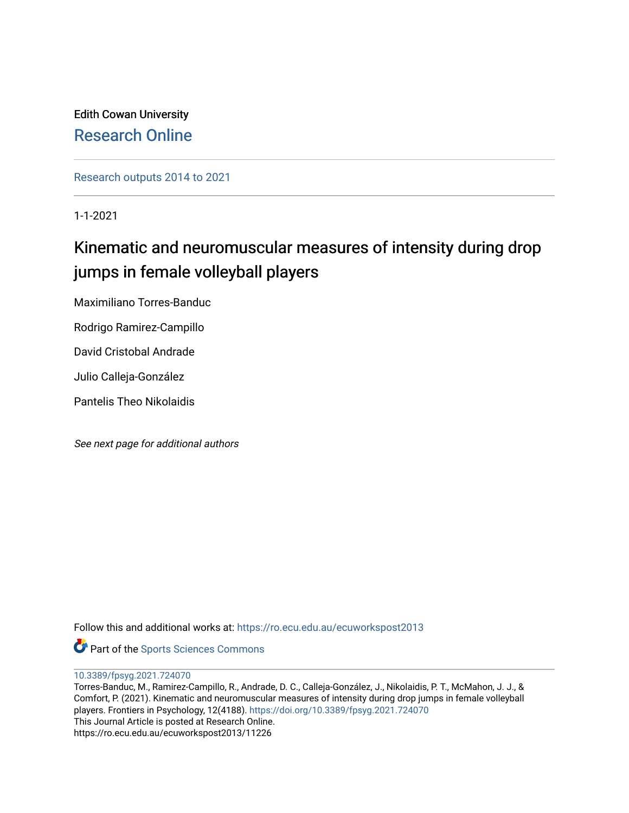Edith Cowan University [Research Online](https://ro.ecu.edu.au/) 

[Research outputs 2014 to 2021](https://ro.ecu.edu.au/ecuworkspost2013) 

1-1-2021

# Kinematic and neuromuscular measures of intensity during drop jumps in female volleyball players

Maximiliano Torres-Banduc

Rodrigo Ramirez-Campillo

David Cristobal Andrade

Julio Calleja-González

Pantelis Theo Nikolaidis

See next page for additional authors

Follow this and additional works at: [https://ro.ecu.edu.au/ecuworkspost2013](https://ro.ecu.edu.au/ecuworkspost2013?utm_source=ro.ecu.edu.au%2Fecuworkspost2013%2F11226&utm_medium=PDF&utm_campaign=PDFCoverPages) 

Part of the [Sports Sciences Commons](http://network.bepress.com/hgg/discipline/759?utm_source=ro.ecu.edu.au%2Fecuworkspost2013%2F11226&utm_medium=PDF&utm_campaign=PDFCoverPages) 

[10.3389/fpsyg.2021.724070](http://dx.doi.org/10.3389/fpsyg.2021.724070) 

Torres-Banduc, M., Ramirez-Campillo, R., Andrade, D. C., Calleja-González, J., Nikolaidis, P. T., McMahon, J. J., & Comfort, P. (2021). Kinematic and neuromuscular measures of intensity during drop jumps in female volleyball players. Frontiers in Psychology, 12(4188). <https://doi.org/10.3389/fpsyg.2021.724070> This Journal Article is posted at Research Online. https://ro.ecu.edu.au/ecuworkspost2013/11226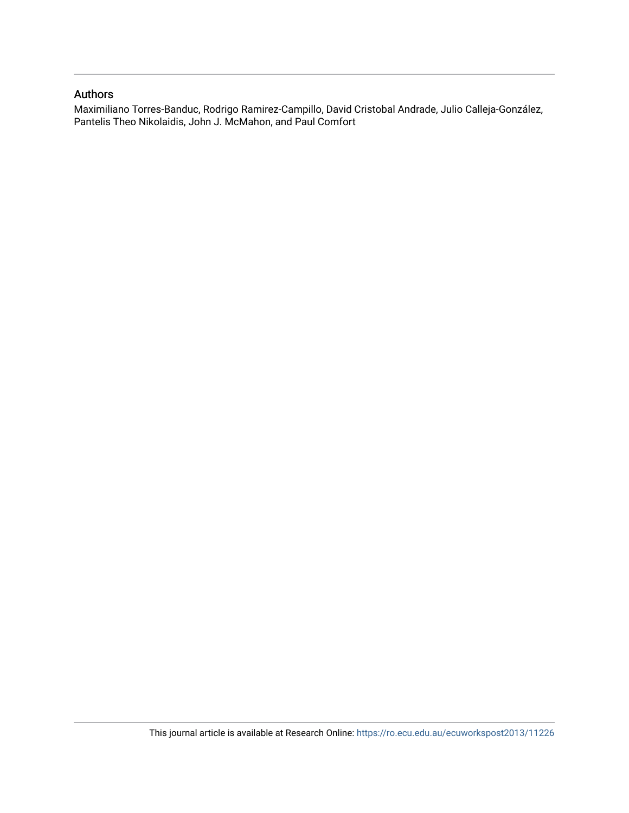## Authors

Maximiliano Torres-Banduc, Rodrigo Ramirez-Campillo, David Cristobal Andrade, Julio Calleja-González, Pantelis Theo Nikolaidis, John J. McMahon, and Paul Comfort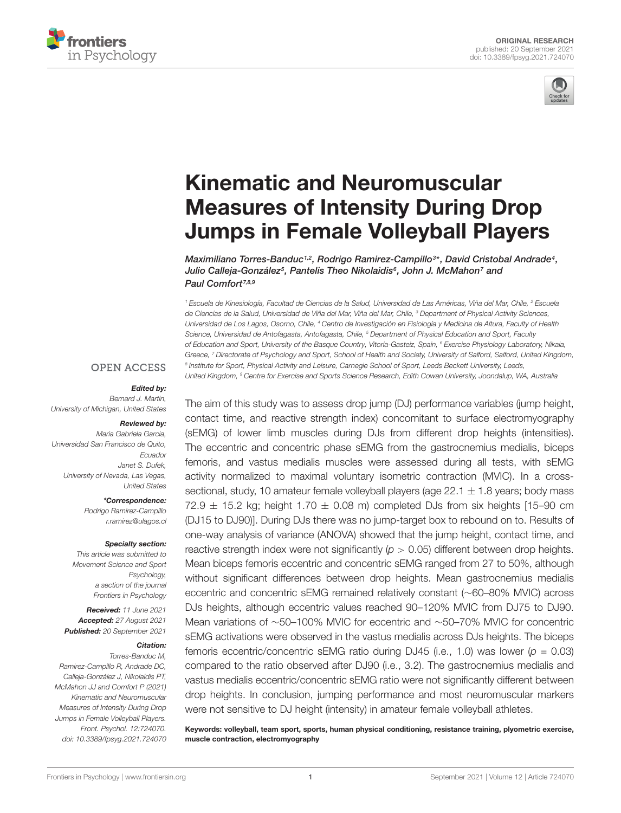



# Kinematic and Neuromuscular Measures of Intensity During Drop [Jumps in Female Volleyball Players](https://www.frontiersin.org/articles/10.3389/fpsyg.2021.724070/full)

Maximiliano Torres-Banduc1<sup>,2</sup>, Rodrigo Ramirez-Campillo<sup>3</sup>\*, David Cristobal Andrade<sup>4</sup>, Julio Calleja-González5, Pantelis Theo Nikolaidis6, John J. McMahon7 and Paul Comfort<sup>7,8,9</sup>

<sup>1</sup> Escuela de Kinesiología, Facultad de Ciencias de la Salud, Universidad de Las Américas, Viña del Mar, Chile, <sup>2</sup> Escuela de Ciencias de la Salud, Universidad de Viña del Mar, Viña del Mar, Chile, <sup>3</sup> Department of Physical Activity Sciences, Universidad de Los Lagos, Osorno, Chile, <sup>4</sup> Centro de Investigación en Fisiología y Medicina de Altura, Faculty of Health Science, Universidad de Antofagasta, Antofagasta, Chile, <sup>5</sup> Department of Physical Education and Sport, Faculty of Education and Sport, University of the Basque Country, Vitoria-Gasteiz, Spain, <sup>6</sup> Exercise Physiology Laboratory, Nikaia, Greece, 7 Directorate of Psychology and Sport, School of Health and Society, University of Salford, Salford, United Kingdom, <sup>8</sup> Institute for Sport, Physical Activity and Leisure, Carnegie School of Sport, Leeds Beckett University, Leeds,

#### **OPEN ACCESS**

#### Edited by:

Bernard J. Martin, University of Michigan, United States

#### Reviewed by:

Maria Gabriela Garcia, Universidad San Francisco de Quito, Ecuador Janet S. Dufek, University of Nevada, Las Vegas, United States

\*Correspondence:

Rodrigo Ramirez-Campillo r.ramirez@ulagos.cl

#### Specialty section:

This article was submitted to Movement Science and Sport Psychology, a section of the journal Frontiers in Psychology

Received: 11 June 2021 Accepted: 27 August 2021 Published: 20 September 2021

#### Citation:

Torres-Banduc M, Ramirez-Campillo R, Andrade DC, Calleja-González J, Nikolaidis PT, McMahon JJ and Comfort P (2021) Kinematic and Neuromuscular Measures of Intensity During Drop Jumps in Female Volleyball Players. Front. Psychol. 12:724070. doi: [10.3389/fpsyg.2021.724070](https://doi.org/10.3389/fpsyg.2021.724070) United Kingdom, <sup>9</sup> Centre for Exercise and Sports Science Research, Edith Cowan University, Joondalup, WA, Australia The aim of this study was to assess drop jump (DJ) performance variables (jump height, contact time, and reactive strength index) concomitant to surface electromyography (sEMG) of lower limb muscles during DJs from different drop heights (intensities). The eccentric and concentric phase sEMG from the gastrocnemius medialis, biceps femoris, and vastus medialis muscles were assessed during all tests, with sEMG activity normalized to maximal voluntary isometric contraction (MVIC). In a crosssectional, study, 10 amateur female volleyball players (age  $22.1 \pm 1.8$  years; body mass 72.9  $\pm$  15.2 kg; height 1.70  $\pm$  0.08 m) completed DJs from six heights [15–90 cm

(DJ15 to DJ90)]. During DJs there was no jump-target box to rebound on to. Results of one-way analysis of variance (ANOVA) showed that the jump height, contact time, and reactive strength index were not significantly ( $p > 0.05$ ) different between drop heights. Mean biceps femoris eccentric and concentric sEMG ranged from 27 to 50%, although without significant differences between drop heights. Mean gastrocnemius medialis eccentric and concentric sEMG remained relatively constant (∼60–80% MVIC) across DJs heights, although eccentric values reached 90–120% MVIC from DJ75 to DJ90. Mean variations of ∼50–100% MVIC for eccentric and ∼50–70% MVIC for concentric sEMG activations were observed in the vastus medialis across DJs heights. The biceps femoris eccentric/concentric sEMG ratio during DJ45 (i.e., 1.0) was lower ( $p = 0.03$ ) compared to the ratio observed after DJ90 (i.e., 3.2). The gastrocnemius medialis and vastus medialis eccentric/concentric sEMG ratio were not significantly different between drop heights. In conclusion, jumping performance and most neuromuscular markers were not sensitive to DJ height (intensity) in amateur female volleyball athletes.

Keywords: volleyball, team sport, sports, human physical conditioning, resistance training, plyometric exercise, muscle contraction, electromyography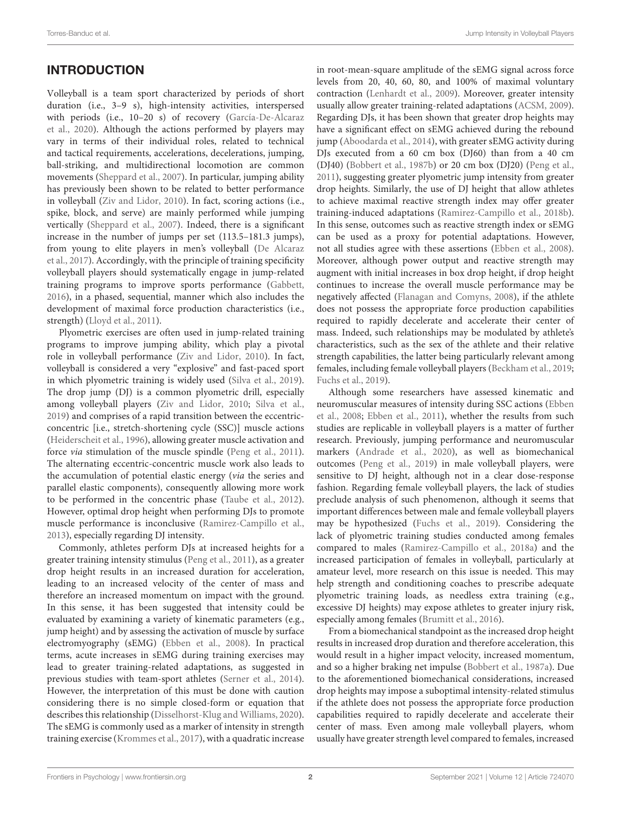# **INTRODUCTION**

Volleyball is a team sport characterized by periods of short duration (i.e., 3–9 s), high-intensity activities, interspersed with periods (i.e., 10–20 s) of recovery [\(García-De-Alcaraz](#page-10-0) [et al.,](#page-10-0) [2020\)](#page-10-0). Although the actions performed by players may vary in terms of their individual roles, related to technical and tactical requirements, accelerations, decelerations, jumping, ball-striking, and multidirectional locomotion are common movements [\(Sheppard et al.,](#page-11-0) [2007\)](#page-11-0). In particular, jumping ability has previously been shown to be related to better performance in volleyball [\(Ziv and Lidor,](#page-11-1) [2010\)](#page-11-1). In fact, scoring actions (i.e., spike, block, and serve) are mainly performed while jumping vertically [\(Sheppard et al.,](#page-11-0) [2007\)](#page-11-0). Indeed, there is a significant increase in the number of jumps per set (113.5–181.3 jumps), from young to elite players in men's volleyball [\(De Alcaraz](#page-10-1) [et al.,](#page-10-1) [2017\)](#page-10-1). Accordingly, with the principle of training specificity volleyball players should systematically engage in jump-related training programs to improve sports performance [\(Gabbett,](#page-10-2) [2016\)](#page-10-2), in a phased, sequential, manner which also includes the development of maximal force production characteristics (i.e., strength) [\(Lloyd et al.,](#page-11-2) [2011\)](#page-11-2).

Plyometric exercises are often used in jump-related training programs to improve jumping ability, which play a pivotal role in volleyball performance [\(Ziv and Lidor,](#page-11-1) [2010\)](#page-11-1). In fact, volleyball is considered a very "explosive" and fast-paced sport in which plyometric training is widely used [\(Silva et al.,](#page-11-3) [2019\)](#page-11-3). The drop jump (DJ) is a common plyometric drill, especially among volleyball players [\(Ziv and Lidor,](#page-11-1) [2010;](#page-11-1) [Silva et al.,](#page-11-3) [2019\)](#page-11-3) and comprises of a rapid transition between the eccentricconcentric [i.e., stretch-shortening cycle (SSC)] muscle actions [\(Heiderscheit et al.,](#page-10-3) [1996\)](#page-10-3), allowing greater muscle activation and force via stimulation of the muscle spindle [\(Peng et al.,](#page-11-4) [2011\)](#page-11-4). The alternating eccentric-concentric muscle work also leads to the accumulation of potential elastic energy (via the series and parallel elastic components), consequently allowing more work to be performed in the concentric phase [\(Taube et al.,](#page-11-5) [2012\)](#page-11-5). However, optimal drop height when performing DJs to promote muscle performance is inconclusive [\(Ramirez-Campillo et al.,](#page-11-6) [2013\)](#page-11-6), especially regarding DJ intensity.

Commonly, athletes perform DJs at increased heights for a greater training intensity stimulus [\(Peng et al.,](#page-11-4) [2011\)](#page-11-4), as a greater drop height results in an increased duration for acceleration, leading to an increased velocity of the center of mass and therefore an increased momentum on impact with the ground. In this sense, it has been suggested that intensity could be evaluated by examining a variety of kinematic parameters (e.g., jump height) and by assessing the activation of muscle by surface electromyography (sEMG) [\(Ebben et al.,](#page-10-4) [2008\)](#page-10-4). In practical terms, acute increases in sEMG during training exercises may lead to greater training-related adaptations, as suggested in previous studies with team-sport athletes [\(Serner et al.,](#page-11-7) [2014\)](#page-11-7). However, the interpretation of this must be done with caution considering there is no simple closed-form or equation that describes this relationship [\(Disselhorst-Klug and Williams,](#page-10-5) [2020\)](#page-10-5). The sEMG is commonly used as a marker of intensity in strength training exercise [\(Krommes et al.,](#page-11-8) [2017\)](#page-11-8), with a quadratic increase

in root-mean-square amplitude of the sEMG signal across force levels from 20, 40, 60, 80, and 100% of maximal voluntary contraction [\(Lenhardt et al.,](#page-11-9) [2009\)](#page-11-9). Moreover, greater intensity usually allow greater training-related adaptations [\(ACSM,](#page-10-6) [2009\)](#page-10-6). Regarding DJs, it has been shown that greater drop heights may have a significant effect on sEMG achieved during the rebound jump [\(Aboodarda et al.,](#page-10-7) [2014\)](#page-10-7), with greater sEMG activity during DJs executed from a 60 cm box (DJ60) than from a 40 cm (DJ40) [\(Bobbert et al.,](#page-10-8) [1987b\)](#page-10-8) or 20 cm box (DJ20) [\(Peng et al.,](#page-11-4) [2011\)](#page-11-4), suggesting greater plyometric jump intensity from greater drop heights. Similarly, the use of DJ height that allow athletes to achieve maximal reactive strength index may offer greater training-induced adaptations [\(Ramirez-Campillo et al.,](#page-11-10) [2018b\)](#page-11-10). In this sense, outcomes such as reactive strength index or sEMG can be used as a proxy for potential adaptations. However, not all studies agree with these assertions [\(Ebben et al.,](#page-10-4) [2008\)](#page-10-4). Moreover, although power output and reactive strength may augment with initial increases in box drop height, if drop height continues to increase the overall muscle performance may be negatively affected [\(Flanagan and Comyns,](#page-10-9) [2008\)](#page-10-9), if the athlete does not possess the appropriate force production capabilities required to rapidly decelerate and accelerate their center of mass. Indeed, such relationships may be modulated by athlete's characteristics, such as the sex of the athlete and their relative strength capabilities, the latter being particularly relevant among females, including female volleyball players [\(Beckham et al.,](#page-10-10) [2019;](#page-10-10) [Fuchs et al.,](#page-10-11) [2019\)](#page-10-11).

Although some researchers have assessed kinematic and neuromuscular measures of intensity during SSC actions [\(Ebben](#page-10-4) [et al.,](#page-10-4) [2008;](#page-10-4) [Ebben et al.,](#page-10-12) [2011\)](#page-10-12), whether the results from such studies are replicable in volleyball players is a matter of further research. Previously, jumping performance and neuromuscular markers [\(Andrade et al.,](#page-10-13) [2020\)](#page-10-13), as well as biomechanical outcomes [\(Peng et al.,](#page-11-11) [2019\)](#page-11-11) in male volleyball players, were sensitive to DJ height, although not in a clear dose-response fashion. Regarding female volleyball players, the lack of studies preclude analysis of such phenomenon, although it seems that important differences between male and female volleyball players may be hypothesized [\(Fuchs et al.,](#page-10-11) [2019\)](#page-10-11). Considering the lack of plyometric training studies conducted among females compared to males [\(Ramirez-Campillo et al.,](#page-11-12) [2018a\)](#page-11-12) and the increased participation of females in volleyball, particularly at amateur level, more research on this issue is needed. This may help strength and conditioning coaches to prescribe adequate plyometric training loads, as needless extra training (e.g., excessive DJ heights) may expose athletes to greater injury risk, especially among females [\(Brumitt et al.,](#page-10-14) [2016\)](#page-10-14).

From a biomechanical standpoint as the increased drop height results in increased drop duration and therefore acceleration, this would result in a higher impact velocity, increased momentum, and so a higher braking net impulse [\(Bobbert et al.,](#page-10-15) [1987a\)](#page-10-15). Due to the aforementioned biomechanical considerations, increased drop heights may impose a suboptimal intensity-related stimulus if the athlete does not possess the appropriate force production capabilities required to rapidly decelerate and accelerate their center of mass. Even among male volleyball players, whom usually have greater strength level compared to females, increased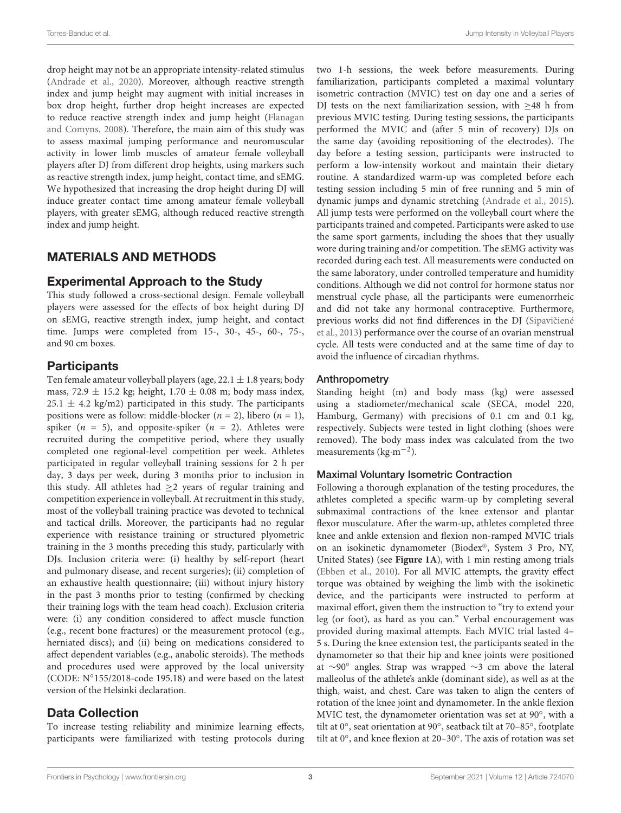drop height may not be an appropriate intensity-related stimulus [\(Andrade et al.,](#page-10-13) [2020\)](#page-10-13). Moreover, although reactive strength index and jump height may augment with initial increases in box drop height, further drop height increases are expected to reduce reactive strength index and jump height [\(Flanagan](#page-10-9) [and Comyns,](#page-10-9) [2008\)](#page-10-9). Therefore, the main aim of this study was to assess maximal jumping performance and neuromuscular activity in lower limb muscles of amateur female volleyball players after DJ from different drop heights, using markers such as reactive strength index, jump height, contact time, and sEMG. We hypothesized that increasing the drop height during DJ will induce greater contact time among amateur female volleyball players, with greater sEMG, although reduced reactive strength index and jump height.

# MATERIALS AND METHODS

## Experimental Approach to the Study

This study followed a cross-sectional design. Female volleyball players were assessed for the effects of box height during DJ on sEMG, reactive strength index, jump height, and contact time. Jumps were completed from 15-, 30-, 45-, 60-, 75-, and 90 cm boxes.

## **Participants**

Ten female amateur volleyball players (age,  $22.1 \pm 1.8$  years; body mass, 72.9  $\pm$  15.2 kg; height, 1.70  $\pm$  0.08 m; body mass index,  $25.1 \pm 4.2$  kg/m2) participated in this study. The participants positions were as follow: middle-blocker ( $n = 2$ ), libero ( $n = 1$ ), spiker ( $n = 5$ ), and opposite-spiker ( $n = 2$ ). Athletes were recruited during the competitive period, where they usually completed one regional-level competition per week. Athletes participated in regular volleyball training sessions for 2 h per day, 3 days per week, during 3 months prior to inclusion in this study. All athletes had  $\geq$ 2 years of regular training and competition experience in volleyball. At recruitment in this study, most of the volleyball training practice was devoted to technical and tactical drills. Moreover, the participants had no regular experience with resistance training or structured plyometric training in the 3 months preceding this study, particularly with DJs. Inclusion criteria were: (i) healthy by self-report (heart and pulmonary disease, and recent surgeries); (ii) completion of an exhaustive health questionnaire; (iii) without injury history in the past 3 months prior to testing (confirmed by checking their training logs with the team head coach). Exclusion criteria were: (i) any condition considered to affect muscle function (e.g., recent bone fractures) or the measurement protocol (e.g., herniated discs); and (ii) being on medications considered to affect dependent variables (e.g., anabolic steroids). The methods and procedures used were approved by the local university (CODE: N◦ 155/2018-code 195.18) and were based on the latest version of the Helsinki declaration.

# Data Collection

To increase testing reliability and minimize learning effects, participants were familiarized with testing protocols during two 1-h sessions, the week before measurements. During familiarization, participants completed a maximal voluntary isometric contraction (MVIC) test on day one and a series of DJ tests on the next familiarization session, with ≥48 h from previous MVIC testing. During testing sessions, the participants performed the MVIC and (after 5 min of recovery) DJs on the same day (avoiding repositioning of the electrodes). The day before a testing session, participants were instructed to perform a low-intensity workout and maintain their dietary routine. A standardized warm-up was completed before each testing session including 5 min of free running and 5 min of dynamic jumps and dynamic stretching [\(Andrade et al.,](#page-10-16) [2015\)](#page-10-16). All jump tests were performed on the volleyball court where the participants trained and competed. Participants were asked to use the same sport garments, including the shoes that they usually wore during training and/or competition. The sEMG activity was recorded during each test. All measurements were conducted on the same laboratory, under controlled temperature and humidity conditions. Although we did not control for hormone status nor menstrual cycle phase, all the participants were eumenorrheic and did not take any hormonal contraceptive. Furthermore, previous works did not find differences in the DJ (Sipavičiené [et al.,](#page-11-13) [2013\)](#page-11-13) performance over the course of an ovarian menstrual cycle. All tests were conducted and at the same time of day to avoid the influence of circadian rhythms.

#### Anthropometry

Standing height (m) and body mass (kg) were assessed using a stadiometer/mechanical scale (SECA, model 220, Hamburg, Germany) with precisions of 0.1 cm and 0.1 kg, respectively. Subjects were tested in light clothing (shoes were removed). The body mass index was calculated from the two measurements (kg·m−<sup>2</sup> ).

### Maximal Voluntary Isometric Contraction

Following a thorough explanation of the testing procedures, the athletes completed a specific warm-up by completing several submaximal contractions of the knee extensor and plantar flexor musculature. After the warm-up, athletes completed three knee and ankle extension and flexion non-ramped MVIC trials on an isokinetic dynamometer (Biodex®, System 3 Pro, NY, United States) (see **[Figure 1A](#page-6-0)**), with 1 min resting among trials [\(Ebben et al.,](#page-10-17) [2010\)](#page-10-17). For all MVIC attempts, the gravity effect torque was obtained by weighing the limb with the isokinetic device, and the participants were instructed to perform at maximal effort, given them the instruction to "try to extend your leg (or foot), as hard as you can." Verbal encouragement was provided during maximal attempts. Each MVIC trial lasted 4– 5 s. During the knee extension test, the participants seated in the dynamometer so that their hip and knee joints were positioned at ∼90◦ angles. Strap was wrapped ∼3 cm above the lateral malleolus of the athlete's ankle (dominant side), as well as at the thigh, waist, and chest. Care was taken to align the centers of rotation of the knee joint and dynamometer. In the ankle flexion MVIC test, the dynamometer orientation was set at 90°, with a tilt at 0◦ , seat orientation at 90◦ , seatback tilt at 70–85◦ , footplate tilt at 0◦ , and knee flexion at 20–30◦ . The axis of rotation was set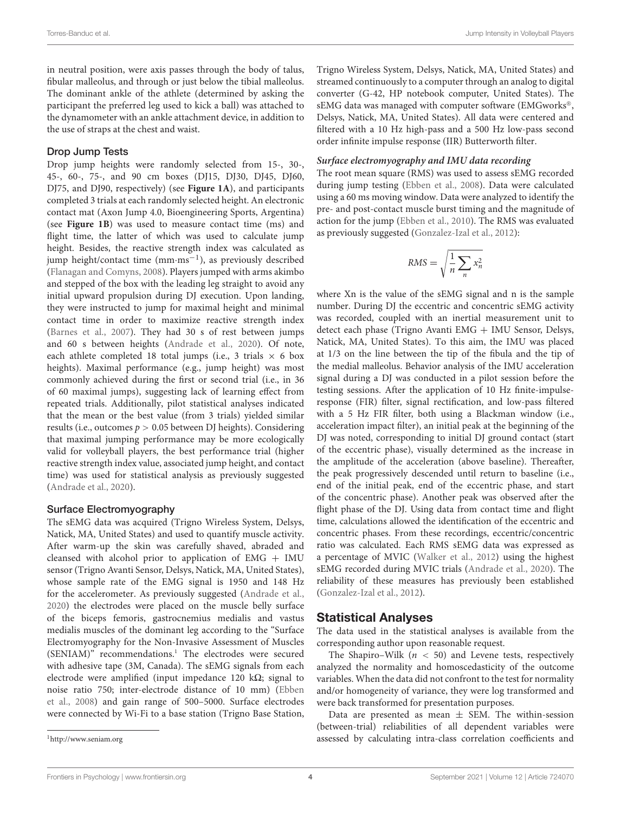in neutral position, were axis passes through the body of talus, fibular malleolus, and through or just below the tibial malleolus. The dominant ankle of the athlete (determined by asking the participant the preferred leg used to kick a ball) was attached to the dynamometer with an ankle attachment device, in addition to the use of straps at the chest and waist.

#### Drop Jump Tests

Drop jump heights were randomly selected from 15-, 30-, 45-, 60-, 75-, and 90 cm boxes (DJ15, DJ30, DJ45, DJ60, DJ75, and DJ90, respectively) (see **[Figure 1A](#page-6-0)**), and participants completed 3 trials at each randomly selected height. An electronic contact mat (Axon Jump 4.0, Bioengineering Sports, Argentina) (see **[Figure 1B](#page-6-0)**) was used to measure contact time (ms) and flight time, the latter of which was used to calculate jump height. Besides, the reactive strength index was calculated as jump height/contact time (mm·ms−<sup>1</sup> ), as previously described [\(Flanagan and Comyns,](#page-10-9) [2008\)](#page-10-9). Players jumped with arms akimbo and stepped of the box with the leading leg straight to avoid any initial upward propulsion during DJ execution. Upon landing, they were instructed to jump for maximal height and minimal contact time in order to maximize reactive strength index [\(Barnes et al.,](#page-10-18) [2007\)](#page-10-18). They had 30 s of rest between jumps and 60 s between heights [\(Andrade et al.,](#page-10-13) [2020\)](#page-10-13). Of note, each athlete completed 18 total jumps (i.e., 3 trials  $\times$  6 box heights). Maximal performance (e.g., jump height) was most commonly achieved during the first or second trial (i.e., in 36 of 60 maximal jumps), suggesting lack of learning effect from repeated trials. Additionally, pilot statistical analyses indicated that the mean or the best value (from 3 trials) yielded similar results (i.e., outcomes  $p > 0.05$  between DJ heights). Considering that maximal jumping performance may be more ecologically valid for volleyball players, the best performance trial (higher reactive strength index value, associated jump height, and contact time) was used for statistical analysis as previously suggested [\(Andrade et al.,](#page-10-13) [2020\)](#page-10-13).

#### Surface Electromyography

The sEMG data was acquired (Trigno Wireless System, Delsys, Natick, MA, United States) and used to quantify muscle activity. After warm-up the skin was carefully shaved, abraded and cleansed with alcohol prior to application of EMG + IMU sensor (Trigno Avanti Sensor, Delsys, Natick, MA, United States), whose sample rate of the EMG signal is 1950 and 148 Hz for the accelerometer. As previously suggested [\(Andrade et al.,](#page-10-13) [2020\)](#page-10-13) the electrodes were placed on the muscle belly surface of the biceps femoris, gastrocnemius medialis and vastus medialis muscles of the dominant leg according to the "Surface Electromyography for the Non-Invasive Assessment of Muscles (SENIAM)" recommendations.<sup>[1](#page-5-0)</sup> The electrodes were secured with adhesive tape (3M, Canada). The sEMG signals from each electrode were amplified (input impedance 120 k $\Omega$ ; signal to noise ratio 750; inter-electrode distance of 10 mm) [\(Ebben](#page-10-4) [et al.,](#page-10-4) [2008\)](#page-10-4) and gain range of 500–5000. Surface electrodes were connected by Wi-Fi to a base station (Trigno Base Station, Trigno Wireless System, Delsys, Natick, MA, United States) and streamed continuously to a computer through an analog to digital converter (G-42, HP notebook computer, United States). The sEMG data was managed with computer software (EMGworks®, Delsys, Natick, MA, United States). All data were centered and filtered with a 10 Hz high-pass and a 500 Hz low-pass second order infinite impulse response (IIR) Butterworth filter.

#### **Surface electromyography and IMU data recording**

The root mean square (RMS) was used to assess sEMG recorded during jump testing [\(Ebben et al.,](#page-10-4) [2008\)](#page-10-4). Data were calculated using a 60 ms moving window. Data were analyzed to identify the pre- and post-contact muscle burst timing and the magnitude of action for the jump [\(Ebben et al.,](#page-10-17) [2010\)](#page-10-17). The RMS was evaluated as previously suggested [\(Gonzalez-Izal et al.,](#page-10-19) [2012\)](#page-10-19):

$$
RMS = \sqrt{\frac{1}{n} \sum_{n} x_n^2}
$$

where Xn is the value of the sEMG signal and n is the sample number. During DJ the eccentric and concentric sEMG activity was recorded, coupled with an inertial measurement unit to detect each phase (Trigno Avanti EMG + IMU Sensor, Delsys, Natick, MA, United States). To this aim, the IMU was placed at 1/3 on the line between the tip of the fibula and the tip of the medial malleolus. Behavior analysis of the IMU acceleration signal during a DJ was conducted in a pilot session before the testing sessions. After the application of 10 Hz finite-impulseresponse (FIR) filter, signal rectification, and low-pass filtered with a 5 Hz FIR filter, both using a Blackman window (i.e., acceleration impact filter), an initial peak at the beginning of the DJ was noted, corresponding to initial DJ ground contact (start of the eccentric phase), visually determined as the increase in the amplitude of the acceleration (above baseline). Thereafter, the peak progressively descended until return to baseline (i.e., end of the initial peak, end of the eccentric phase, and start of the concentric phase). Another peak was observed after the flight phase of the DJ. Using data from contact time and flight time, calculations allowed the identification of the eccentric and concentric phases. From these recordings, eccentric/concentric ratio was calculated. Each RMS sEMG data was expressed as a percentage of MVIC [\(Walker et al.,](#page-11-14) [2012\)](#page-11-14) using the highest sEMG recorded during MVIC trials [\(Andrade et al.,](#page-10-13) [2020\)](#page-10-13). The reliability of these measures has previously been established [\(Gonzalez-Izal et al.,](#page-10-19) [2012\)](#page-10-19).

### Statistical Analyses

The data used in the statistical analyses is available from the corresponding author upon reasonable request.

The Shapiro–Wilk ( $n < 50$ ) and Levene tests, respectively analyzed the normality and homoscedasticity of the outcome variables. When the data did not confront to the test for normality and/or homogeneity of variance, they were log transformed and were back transformed for presentation purposes.

Data are presented as mean  $\pm$  SEM. The within-session (between-trial) reliabilities of all dependent variables were assessed by calculating intra-class correlation coefficients and

<span id="page-5-0"></span><sup>1</sup><http://www.seniam.org>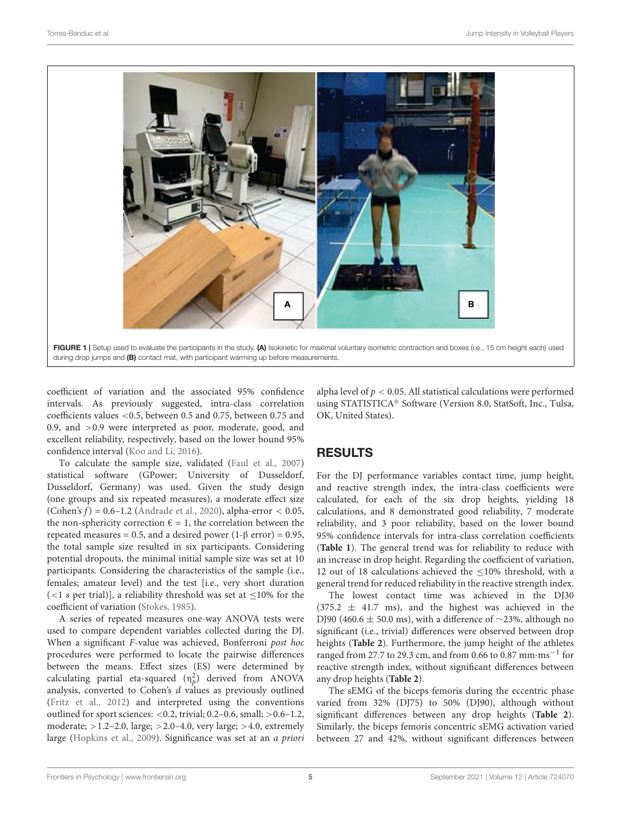

<span id="page-6-0"></span>coefficient of variation and the associated 95% confidence intervals. As previously suggested, intra-class correlation coefficients values <0.5, between 0.5 and 0.75, between 0.75 and 0.9, and >0.9 were interpreted as poor, moderate, good, and excellent reliability, respectively, based on the lower bound 95% confidence interval [\(Koo and Li,](#page-11-15) [2016\)](#page-11-15).

To calculate the sample size, validated [\(Faul et al.,](#page-10-20) [2007\)](#page-10-20) statistical software (GPower; University of Dusseldorf, Dusseldorf, Germany) was used. Given the study design (one groups and six repeated measures), a moderate effect size (Cohen's  $f$ ) = 0.6–1.2 [\(Andrade et al.,](#page-10-13) [2020\)](#page-10-13), alpha-error < 0.05, the non-sphericity correction  $\epsilon = 1$ , the correlation between the repeated measures = 0.5, and a desired power (1-β error) = 0.95, the total sample size resulted in six participants. Considering potential dropouts, the minimal initial sample size was set at 10 participants. Considering the characteristics of the sample (i.e., females; amateur level) and the test [i.e., very short duration (<1 s per trial)], a reliability threshold was set at  $\leq$ 10% for the coefficient of variation [\(Stokes,](#page-11-16) [1985\)](#page-11-16).

A series of repeated measures one-way ANOVA tests were used to compare dependent variables collected during the DJ. When a significant F-value was achieved, Bonferroni post hoc procedures were performed to locate the pairwise differences between the means. Effect sizes (ES) were determined by calculating partial eta-squared  $(n_p^2)$  derived from ANOVA analysis, converted to Cohen's  $d$  values as previously outlined [\(Fritz et al.,](#page-10-21) [2012\)](#page-10-21) and interpreted using the conventions outlined for sport sciences: <0.2, trivial; 0.2–0.6, small; >0.6–1.2, moderate;  $>1.2-2.0$ , large;  $>2.0-4.0$ , very large;  $>4.0$ , extremely large [\(Hopkins et al.,](#page-11-17) [2009\)](#page-11-17). Significance was set at an a priori

alpha level of  $p < 0.05$ . All statistical calculations were performed using STATISTICA® Software (Version 8.0, StatSoft, Inc., Tulsa, OK, United States).

# RESULTS

For the DJ performance variables contact time, jump height, and reactive strength index, the intra-class coefficients were calculated, for each of the six drop heights, yielding 18 calculations, and 8 demonstrated good reliability, 7 moderate reliability, and 3 poor reliability, based on the lower bound 95% confidence intervals for intra-class correlation coefficients (**[Table 1](#page-7-0)**). The general trend was for reliability to reduce with an increase in drop height. Regarding the coefficient of variation, 12 out of 18 calculations achieved the ≤10% threshold, with a general trend for reduced reliability in the reactive strength index.

The lowest contact time was achieved in the DJ30  $(375.2 \pm 41.7 \text{ ms})$ , and the highest was achieved in the DJ90 (460.6  $\pm$  50.0 ms), with a difference of ~23%, although no significant (i.e., trivial) differences were observed between drop heights (**[Table 2](#page-8-0)**). Furthermore, the jump height of the athletes ranged from 27.7 to 29.3 cm, and from 0.66 to 0.87 mm·ms−<sup>1</sup> for reactive strength index, without significant differences between any drop heights (**[Table 2](#page-8-0)**).

The sEMG of the biceps femoris during the eccentric phase varied from 32% (DJ75) to 50% (DJ90), although without significant differences between any drop heights (**[Table 2](#page-8-0)**). Similarly, the biceps femoris concentric sEMG activation varied between 27 and 42%, without significant differences between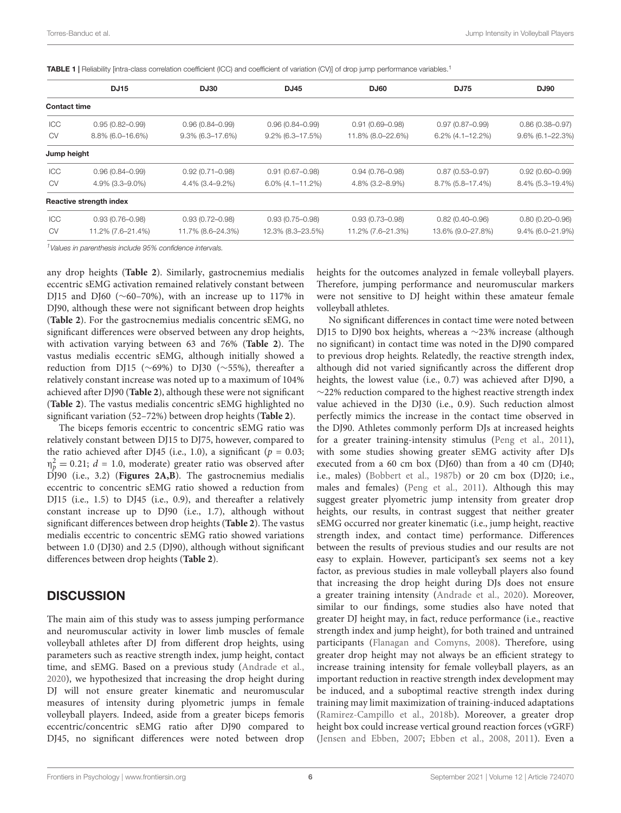<span id="page-7-0"></span>TABLE 1 | Reliability [intra-class correlation coefficient (ICC) and coefficient of variation (CV)] of drop jump performance variables.<sup>1</sup>

|                     | <b>DJ15</b>             | <b>DJ30</b>         | <b>DJ45</b>         | <b>DJ60</b>         | <b>DJ75</b>         | <b>DJ90</b>         |
|---------------------|-------------------------|---------------------|---------------------|---------------------|---------------------|---------------------|
| <b>Contact time</b> |                         |                     |                     |                     |                     |                     |
| ICC                 | $0.95(0.82 - 0.99)$     | $0.96(0.84 - 0.99)$ | $0.96(0.84 - 0.99)$ | $0.91(0.69 - 0.98)$ | $0.97(0.87 - 0.99)$ | $0.86(0.38 - 0.97)$ |
| <b>CV</b>           | $8.8\%$ (6.0-16.6%)     | $9.3\%$ (6.3-17.6%) | $9.2\%$ (6.3-17.5%) | 11.8% (8.0-22.6%)   | $6.2\%$ (4.1-12.2%) | $9.6\%$ (6.1-22.3%) |
| Jump height         |                         |                     |                     |                     |                     |                     |
| ICC                 | $0.96(0.84 - 0.99)$     | $0.92(0.71 - 0.98)$ | $0.91(0.67 - 0.98)$ | $0.94(0.76 - 0.98)$ | $0.87(0.53 - 0.97)$ | $0.92(0.60 - 0.99)$ |
| <b>CV</b>           | 4.9% (3.3–9.0%)         | $4.4\%$ (3.4–9.2%)  | $6.0\%$ (4.1-11.2%) | $4.8\%$ (3.2-8.9%)  | 8.7% (5.8-17.4%)    | 8.4% (5.3-19.4%)    |
|                     | Reactive strength index |                     |                     |                     |                     |                     |
| ICC                 | $0.93(0.76 - 0.98)$     | $0.93(0.72 - 0.98)$ | $0.93(0.75 - 0.98)$ | $0.93(0.73 - 0.98)$ | $0.82(0.40 - 0.96)$ | $0.80(0.20 - 0.96)$ |
| <b>CV</b>           | 11.2% (7.6-21.4%)       | 11.7% (8.6-24.3%)   | 12.3% (8.3-23.5%)   | 11.2% (7.6-21.3%)   | 13.6% (9.0-27.8%)   | $9.4\%$ (6.0-21.9%) |

 $1$ Values in parenthesis include 95% confidence intervals.

any drop heights (**[Table 2](#page-8-0)**). Similarly, gastrocnemius medialis eccentric sEMG activation remained relatively constant between DJ15 and DJ60 (∼60–70%), with an increase up to 117% in DJ90, although these were not significant between drop heights (**[Table 2](#page-8-0)**). For the gastrocnemius medialis concentric sEMG, no significant differences were observed between any drop heights, with activation varying between 63 and 76% (**[Table 2](#page-8-0)**). The vastus medialis eccentric sEMG, although initially showed a reduction from DJ15 (∼69%) to DJ30 (∼55%), thereafter a relatively constant increase was noted up to a maximum of 104% achieved after DJ90 (**[Table 2](#page-8-0)**), although these were not significant (**[Table 2](#page-8-0)**). The vastus medialis concentric sEMG highlighted no significant variation (52–72%) between drop heights (**[Table 2](#page-8-0)**).

The biceps femoris eccentric to concentric sEMG ratio was relatively constant between DJ15 to DJ75, however, compared to the ratio achieved after DJ45 (i.e., 1.0), a significant ( $p = 0.03$ ;  $\eta_p^2 = 0.21$ ;  $d = 1.0$ , moderate) greater ratio was observed after DJ90 (i.e., 3.2) (**[Figures 2A,B](#page-8-1)**). The gastrocnemius medialis eccentric to concentric sEMG ratio showed a reduction from DJ15 (i.e., 1.5) to DJ45 (i.e., 0.9), and thereafter a relatively constant increase up to DJ90 (i.e., 1.7), although without significant differences between drop heights (**[Table 2](#page-8-0)**). The vastus medialis eccentric to concentric sEMG ratio showed variations between 1.0 (DJ30) and 2.5 (DJ90), although without significant differences between drop heights (**[Table 2](#page-8-0)**).

### **DISCUSSION**

The main aim of this study was to assess jumping performance and neuromuscular activity in lower limb muscles of female volleyball athletes after DJ from different drop heights, using parameters such as reactive strength index, jump height, contact time, and sEMG. Based on a previous study [\(Andrade et al.,](#page-10-13) [2020\)](#page-10-13), we hypothesized that increasing the drop height during DJ will not ensure greater kinematic and neuromuscular measures of intensity during plyometric jumps in female volleyball players. Indeed, aside from a greater biceps femoris eccentric/concentric sEMG ratio after DJ90 compared to DJ45, no significant differences were noted between drop

heights for the outcomes analyzed in female volleyball players. Therefore, jumping performance and neuromuscular markers were not sensitive to DJ height within these amateur female volleyball athletes.

No significant differences in contact time were noted between DJ15 to DJ90 box heights, whereas a ∼23% increase (although no significant) in contact time was noted in the DJ90 compared to previous drop heights. Relatedly, the reactive strength index, although did not varied significantly across the different drop heights, the lowest value (i.e., 0.7) was achieved after DJ90, a ∼22% reduction compared to the highest reactive strength index value achieved in the DJ30 (i.e., 0.9). Such reduction almost perfectly mimics the increase in the contact time observed in the DJ90. Athletes commonly perform DJs at increased heights for a greater training-intensity stimulus [\(Peng et al.,](#page-11-4) [2011\)](#page-11-4), with some studies showing greater sEMG activity after DJs executed from a 60 cm box (DJ60) than from a 40 cm (DJ40; i.e., males) [\(Bobbert et al.,](#page-10-8) [1987b\)](#page-10-8) or 20 cm box (DJ20; i.e., males and females) [\(Peng et al.,](#page-11-4) [2011\)](#page-11-4). Although this may suggest greater plyometric jump intensity from greater drop heights, our results, in contrast suggest that neither greater sEMG occurred nor greater kinematic (i.e., jump height, reactive strength index, and contact time) performance. Differences between the results of previous studies and our results are not easy to explain. However, participant's sex seems not a key factor, as previous studies in male volleyball players also found that increasing the drop height during DJs does not ensure a greater training intensity [\(Andrade et al.,](#page-10-13) [2020\)](#page-10-13). Moreover, similar to our findings, some studies also have noted that greater DJ height may, in fact, reduce performance (i.e., reactive strength index and jump height), for both trained and untrained participants [\(Flanagan and Comyns,](#page-10-9) [2008\)](#page-10-9). Therefore, using greater drop height may not always be an efficient strategy to increase training intensity for female volleyball players, as an important reduction in reactive strength index development may be induced, and a suboptimal reactive strength index during training may limit maximization of training-induced adaptations [\(Ramirez-Campillo et al.,](#page-11-10) [2018b\)](#page-11-10). Moreover, a greater drop height box could increase vertical ground reaction forces (vGRF) [\(Jensen and Ebben,](#page-11-18) [2007;](#page-11-18) [Ebben et al.,](#page-10-4) [2008,](#page-10-4) [2011\)](#page-10-12). Even a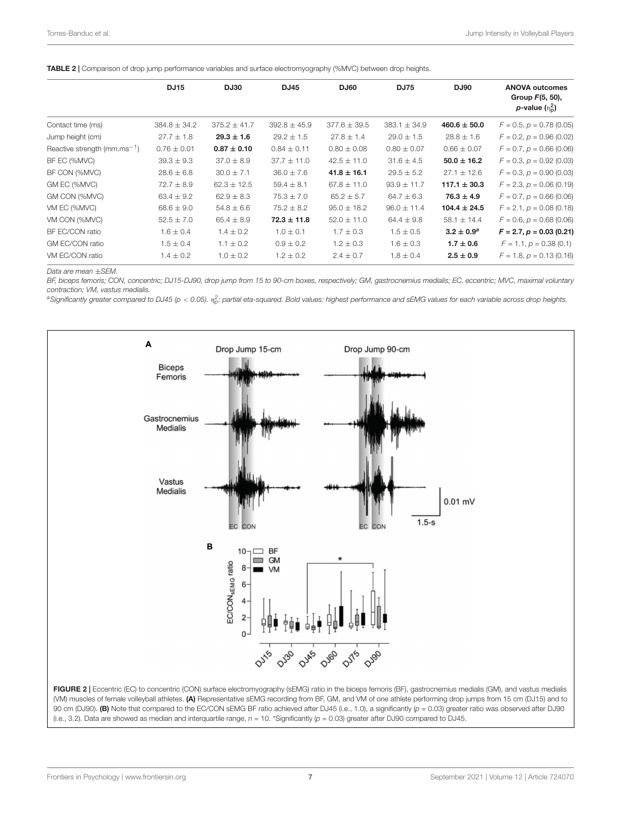<span id="page-8-0"></span>

|  |  |  |  |  | TABLE 2   Comparison of drop jump performance variables and surface electromyography (%MVC) between drop heights. |  |  |  |  |  |
|--|--|--|--|--|-------------------------------------------------------------------------------------------------------------------|--|--|--|--|--|
|--|--|--|--|--|-------------------------------------------------------------------------------------------------------------------|--|--|--|--|--|

|                                    | <b>DJ15</b>      | <b>DJ30</b>      | <b>DJ45</b>      | <b>DJ60</b>      | <b>DJ75</b>      | <b>DJ90</b>      | <b>ANOVA outcomes</b><br>Group $F(5, 50)$ , |
|------------------------------------|------------------|------------------|------------------|------------------|------------------|------------------|---------------------------------------------|
|                                    |                  |                  |                  |                  |                  |                  | p-value $(n_0^2)$                           |
| Contact time (ms)                  | $384.8 \pm 34.2$ | $375.2 \pm 41.7$ | $392.8 \pm 45.9$ | $377.6 \pm 39.5$ | $383.1 \pm 34.9$ | $460.6 \pm 50.0$ | $F = 0.5$ , $p = 0.78$ (0.05)               |
| Jump height (cm)                   | $27.7 \pm 1.8$   | $29.3 \pm 1.6$   | $29.2 \pm 1.5$   | $27.8 \pm 1.4$   | $29.0 \pm 1.5$   | $28.8 \pm 1.6$   | $F = 0.2$ , $p = 0.96$ (0.02)               |
| Reactive strength ( $mm.ms^{-1}$ ) | $0.76 \pm 0.01$  | $0.87 \pm 0.10$  | $0.84 \pm 0.11$  | $0.80 \pm 0.08$  | $0.80 \pm 0.07$  | $0.66 \pm 0.07$  | $F = 0.7$ , $p = 0.66$ (0.06)               |
| BF EC (%MVC)                       | $39.3 \pm 9.3$   | $37.0 \pm 8.9$   | $37.7 \pm 11.0$  | $42.5 \pm 11.0$  | $31.6 \pm 4.5$   | $50.0 \pm 16.2$  | $F = 0.3$ , $p = 0.92$ (0.03)               |
| BF CON (%MVC)                      | $28.6 \pm 6.8$   | $30.0 \pm 7.1$   | $36.0 \pm 7.6$   | $41.8 \pm 16.1$  | $29.5 \pm 5.2$   | $27.1 \pm 12.6$  | $F = 0.3$ , $p = 0.90$ (0.03)               |
| GM EC (%MVC)                       | $72.7 \pm 8.9$   | $62.3 \pm 12.5$  | $59.4 \pm 8.1$   | $67.8 \pm 11.0$  | $93.9 \pm 11.7$  | $117.1 \pm 30.3$ | $F = 2.3, p = 0.06$ (0.19)                  |
| GM CON (%MVC)                      | $63.4 \pm 9.2$   | $62.9 \pm 8.3$   | $75.3 \pm 7.0$   | $65.2 \pm 5.7$   | $64.7 \pm 6.3$   | $76.3 \pm 4.9$   | $F = 0.7$ , $p = 0.66$ (0.06)               |
| VM EC (%MVC)                       | $68.6 \pm 9.0$   | $54.8 \pm 6.6$   | $75.2 \pm 8.2$   | $95.0 \pm 18.2$  | $96.0 \pm 11.4$  | $104.4 \pm 24.5$ | $F = 2.1, p = 0.08$ (0.18)                  |
| VM CON (%MVC)                      | $52.5 \pm 7.0$   | $65.4 \pm 8.9$   | $72.3 \pm 11.8$  | $52.0 \pm 11.0$  | $64.4 \pm 9.8$   | $58.1 \pm 14.4$  | $F = 0.6$ , $p = 0.68$ (0.06)               |
| BF EC/CON ratio                    | $1.6 \pm 0.4$    | $1.4 \pm 0.2$    | $1.0 \pm 0.1$    | $1.7 \pm 0.3$    | $1.5 \pm 0.5$    | $3.2 \pm 0.9^a$  | $F = 2.7, p = 0.03$ (0.21)                  |
| GM EC/CON ratio                    | $1.5 \pm 0.4$    | $1.1 \pm 0.2$    | $0.9 \pm 0.2$    | $1.2 \pm 0.3$    | $1.6 \pm 0.3$    | $1.7 \pm 0.6$    | $F = 1.1, p = 0.38$ (0.1)                   |
| VM EC/CON ratio                    | $1.4 \pm 0.2$    | $1.0 \pm 0.2$    | $1.2 \pm 0.2$    | $2.4 \pm 0.7$    | $1.8 \pm 0.4$    | $2.5 \pm 0.9$    | $F = 1.8$ , $p = 0.13$ (0.16)               |

Data are mean ±SEM.

BF, biceps femoris; CON, concentric; DJ15-DJ90, drop jump from 15 to 90-cm boxes, respectively; GM, gastrocnemius medialis; EC, eccentric; MVC, maximal voluntary contraction; VM, vastus medialis.

<sup>a</sup>Significantly greater compared to DJ45 (p < 0.05).  $\eta^2_\text{\tiny C}$  partial eta-squared. Bold values: highest performance and sEMG values for each variable across drop heights.



<span id="page-8-1"></span>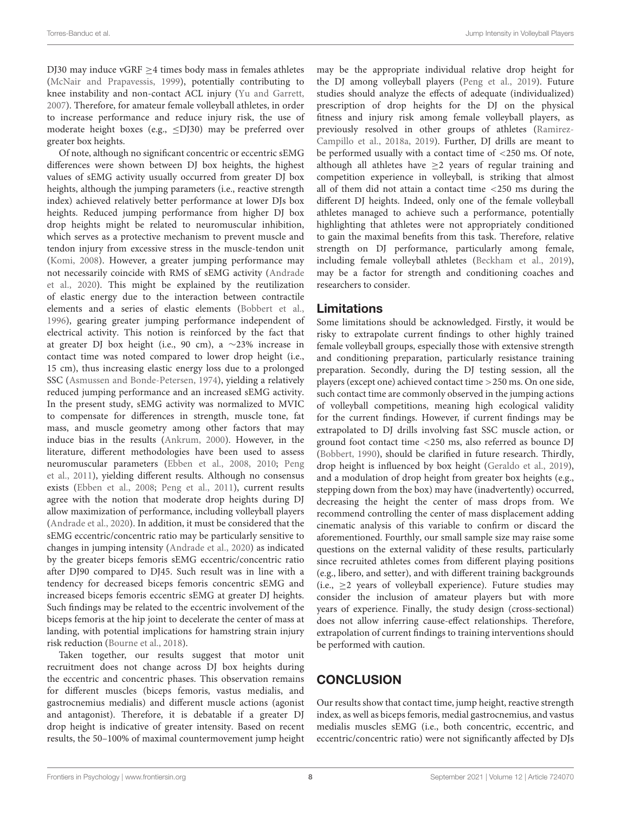DJ30 may induce vGRF  $\geq$ 4 times body mass in females athletes [\(McNair and Prapavessis,](#page-11-19) [1999\)](#page-11-19), potentially contributing to knee instability and non-contact ACL injury [\(Yu and Garrett,](#page-11-20) [2007\)](#page-11-20). Therefore, for amateur female volleyball athletes, in order to increase performance and reduce injury risk, the use of moderate height boxes (e.g., ≤DJ30) may be preferred over greater box heights.

Of note, although no significant concentric or eccentric sEMG differences were shown between DJ box heights, the highest values of sEMG activity usually occurred from greater DJ box heights, although the jumping parameters (i.e., reactive strength index) achieved relatively better performance at lower DJs box heights. Reduced jumping performance from higher DJ box drop heights might be related to neuromuscular inhibition, which serves as a protective mechanism to prevent muscle and tendon injury from excessive stress in the muscle-tendon unit [\(Komi,](#page-11-21) [2008\)](#page-11-21). However, a greater jumping performance may not necessarily coincide with RMS of sEMG activity [\(Andrade](#page-10-13) [et al.,](#page-10-13) [2020\)](#page-10-13). This might be explained by the reutilization of elastic energy due to the interaction between contractile elements and a series of elastic elements [\(Bobbert et al.,](#page-10-22) [1996\)](#page-10-22), gearing greater jumping performance independent of electrical activity. This notion is reinforced by the fact that at greater DJ box height (i.e., 90 cm), a ∼23% increase in contact time was noted compared to lower drop height (i.e., 15 cm), thus increasing elastic energy loss due to a prolonged SSC [\(Asmussen and Bonde-Petersen,](#page-10-23) [1974\)](#page-10-23), yielding a relatively reduced jumping performance and an increased sEMG activity. In the present study, sEMG activity was normalized to MVIC to compensate for differences in strength, muscle tone, fat mass, and muscle geometry among other factors that may induce bias in the results [\(Ankrum,](#page-10-24) [2000\)](#page-10-24). However, in the literature, different methodologies have been used to assess neuromuscular parameters [\(Ebben et al.,](#page-10-4) [2008,](#page-10-4) [2010;](#page-10-17) [Peng](#page-11-4) [et al.,](#page-11-4) [2011\)](#page-11-4), yielding different results. Although no consensus exists [\(Ebben et al.,](#page-10-4) [2008;](#page-10-4) [Peng et al.,](#page-11-4) [2011\)](#page-11-4), current results agree with the notion that moderate drop heights during DJ allow maximization of performance, including volleyball players [\(Andrade et al.,](#page-10-13) [2020\)](#page-10-13). In addition, it must be considered that the sEMG eccentric/concentric ratio may be particularly sensitive to changes in jumping intensity [\(Andrade et al.,](#page-10-13) [2020\)](#page-10-13) as indicated by the greater biceps femoris sEMG eccentric/concentric ratio after DJ90 compared to DJ45. Such result was in line with a tendency for decreased biceps femoris concentric sEMG and increased biceps femoris eccentric sEMG at greater DJ heights. Such findings may be related to the eccentric involvement of the biceps femoris at the hip joint to decelerate the center of mass at landing, with potential implications for hamstring strain injury risk reduction [\(Bourne et al.,](#page-10-25) [2018\)](#page-10-25).

Taken together, our results suggest that motor unit recruitment does not change across DJ box heights during the eccentric and concentric phases. This observation remains for different muscles (biceps femoris, vastus medialis, and gastrocnemius medialis) and different muscle actions (agonist and antagonist). Therefore, it is debatable if a greater DJ drop height is indicative of greater intensity. Based on recent results, the 50–100% of maximal countermovement jump height may be the appropriate individual relative drop height for the DJ among volleyball players [\(Peng et al.,](#page-11-11) [2019\)](#page-11-11). Future studies should analyze the effects of adequate (individualized) prescription of drop heights for the DJ on the physical fitness and injury risk among female volleyball players, as previously resolved in other groups of athletes [\(Ramirez-](#page-11-12)[Campillo et al.,](#page-11-12) [2018a,](#page-11-12) [2019\)](#page-11-22). Further, DJ drills are meant to be performed usually with a contact time of <250 ms. Of note, although all athletes have  $\geq 2$  years of regular training and competition experience in volleyball, is striking that almost all of them did not attain a contact time <250 ms during the different DJ heights. Indeed, only one of the female volleyball athletes managed to achieve such a performance, potentially highlighting that athletes were not appropriately conditioned to gain the maximal benefits from this task. Therefore, relative strength on DJ performance, particularly among female, including female volleyball athletes [\(Beckham et al.,](#page-10-10) [2019\)](#page-10-10), may be a factor for strength and conditioning coaches and researchers to consider.

#### Limitations

Some limitations should be acknowledged. Firstly, it would be risky to extrapolate current findings to other highly trained female volleyball groups, especially those with extensive strength and conditioning preparation, particularly resistance training preparation. Secondly, during the DJ testing session, all the players (except one) achieved contact time >250 ms. On one side, such contact time are commonly observed in the jumping actions of volleyball competitions, meaning high ecological validity for the current findings. However, if current findings may be extrapolated to DJ drills involving fast SSC muscle action, or ground foot contact time <250 ms, also referred as bounce DJ [\(Bobbert,](#page-10-26) [1990\)](#page-10-26), should be clarified in future research. Thirdly, drop height is influenced by box height [\(Geraldo et al.,](#page-10-27) [2019\)](#page-10-27), and a modulation of drop height from greater box heights (e.g., stepping down from the box) may have (inadvertently) occurred, decreasing the height the center of mass drops from. We recommend controlling the center of mass displacement adding cinematic analysis of this variable to confirm or discard the aforementioned. Fourthly, our small sample size may raise some questions on the external validity of these results, particularly since recruited athletes comes from different playing positions (e.g., libero, and setter), and with different training backgrounds (i.e.,  $>2$  years of volleyball experience). Future studies may consider the inclusion of amateur players but with more years of experience. Finally, the study design (cross-sectional) does not allow inferring cause-effect relationships. Therefore, extrapolation of current findings to training interventions should be performed with caution.

# **CONCLUSION**

Our results show that contact time, jump height, reactive strength index, as well as biceps femoris, medial gastrocnemius, and vastus medialis muscles sEMG (i.e., both concentric, eccentric, and eccentric/concentric ratio) were not significantly affected by DJs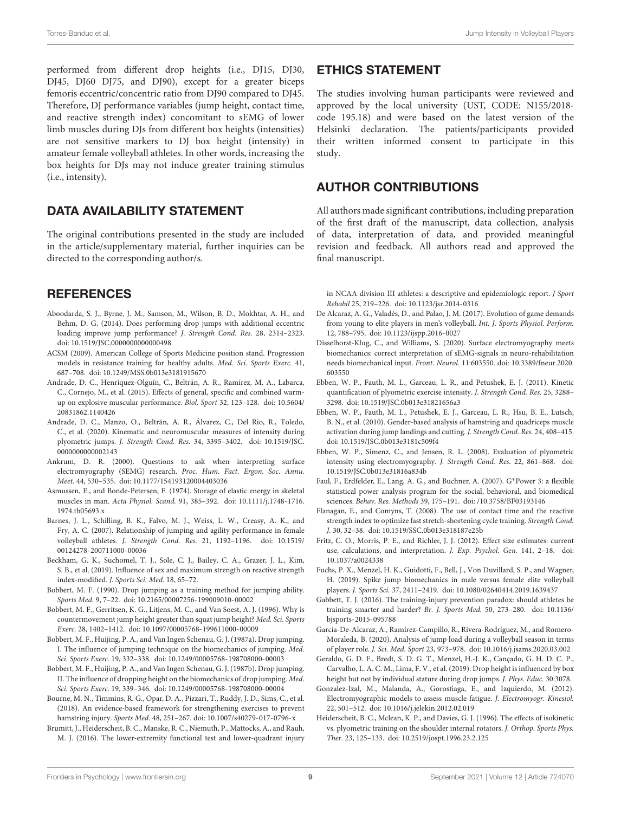performed from different drop heights (i.e., DJ15, DJ30, DJ45, DJ60 DJ75, and DJ90), except for a greater biceps femoris eccentric/concentric ratio from DJ90 compared to DJ45. Therefore, DJ performance variables (jump height, contact time, and reactive strength index) concomitant to sEMG of lower limb muscles during DJs from different box heights (intensities) are not sensitive markers to DJ box height (intensity) in amateur female volleyball athletes. In other words, increasing the box heights for DJs may not induce greater training stimulus (i.e., intensity).

# DATA AVAILABILITY STATEMENT

The original contributions presented in the study are included in the article/supplementary material, further inquiries can be directed to the corresponding author/s.

## **REFERENCES**

- <span id="page-10-7"></span>Aboodarda, S. J., Byrne, J. M., Samson, M., Wilson, B. D., Mokhtar, A. H., and Behm, D. G. (2014). Does performing drop jumps with additional eccentric loading improve jump performance? J. Strength Cond. Res. 28, 2314–2323. [doi: 10.1519/JSC.0000000000000498](https://doi.org/10.1519/JSC.0000000000000498)
- <span id="page-10-6"></span>ACSM (2009). American College of Sports Medicine position stand. Progression models in resistance training for healthy adults. Med. Sci. Sports Exerc. 41, 687–708. [doi: 10.1249/MSS.0b013e3181915670](https://doi.org/10.1249/MSS.0b013e3181915670)
- <span id="page-10-16"></span>Andrade, D. C., Henriquez-Olguín, C., Beltrán, A. R., Ramírez, M. A., Labarca, C., Cornejo, M., et al. (2015). Effects of general, specific and combined warmup on explosive muscular performance. Biol. Sport 32, 123–128. [doi: 10.5604/](https://doi.org/10.5604/20831862.1140426) [20831862.1140426](https://doi.org/10.5604/20831862.1140426)
- <span id="page-10-13"></span>Andrade, D. C., Manzo, O., Beltrán, A. R., Álvarez, C., Del Rio, R., Toledo, C., et al. (2020). Kinematic and neuromuscular measures of intensity during plyometric jumps. J. Strength Cond. Res. 34, 3395–3402. [doi: 10.1519/JSC.](https://doi.org/10.1519/JSC.0000000000002143) [0000000000002143](https://doi.org/10.1519/JSC.0000000000002143)
- <span id="page-10-24"></span>Ankrum, D. R. (2000). Questions to ask when interpreting surface electromyography (SEMG) research. Proc. Hum. Fact. Ergon. Soc. Annu. Meet. 44, 530–535. [doi: 10.1177/154193120004403036](https://doi.org/10.1177/154193120004403036)
- <span id="page-10-23"></span>Asmussen, E., and Bonde-Petersen, F. (1974). Storage of elastic energy in skeletal muscles in man. Acta Physiol. Scand. 91, 385–392. [doi: 10.1111/j.1748-1716.](https://doi.org/10.1111/j.1748-1716.1974.tb05693.x) [1974.tb05693.x](https://doi.org/10.1111/j.1748-1716.1974.tb05693.x)
- <span id="page-10-18"></span>Barnes, J. L., Schilling, B. K., Falvo, M. J., Weiss, L. W., Creasy, A. K., and Fry, A. C. (2007). Relationship of jumping and agility performance in female volleyball athletes. J. Strength Cond. Res. 21, 1192–1196. [doi: 10.1519/](https://doi.org/10.1519/00124278-200711000-00036) [00124278-200711000-00036](https://doi.org/10.1519/00124278-200711000-00036)
- <span id="page-10-10"></span>Beckham, G. K., Suchomel, T. J., Sole, C. J., Bailey, C. A., Grazer, J. L., Kim, S. B., et al. (2019). Influence of sex and maximum strength on reactive strength index-modified. J. Sports Sci. Med. 18, 65–72.
- <span id="page-10-26"></span>Bobbert, M. F. (1990). Drop jumping as a training method for jumping ability. Sports Med. 9, 7–22. [doi: 10.2165/00007256-199009010-00002](https://doi.org/10.2165/00007256-199009010-00002)
- <span id="page-10-22"></span>Bobbert, M. F., Gerritsen, K. G., Litjens, M. C., and Van Soest, A. J. (1996). Why is countermovement jump height greater than squat jump height? Med. Sci. Sports Exerc. 28, 1402–1412. [doi: 10.1097/00005768-199611000-00009](https://doi.org/10.1097/00005768-199611000-00009)
- <span id="page-10-15"></span>Bobbert, M. F., Huijing, P. A., and Van Ingen Schenau, G. J. (1987a). Drop jumping. I. The influence of jumping technique on the biomechanics of jumping. Med. Sci. Sports Exerc. 19, 332–338. [doi: 10.1249/00005768-198708000-00003](https://doi.org/10.1249/00005768-198708000-00003)
- <span id="page-10-8"></span>Bobbert, M. F., Huijing, P. A., and Van Ingen Schenau, G. J. (1987b). Drop jumping. II. The influence of dropping height on the biomechanics of drop jumping. Med. Sci. Sports Exerc. 19, 339–346. [doi: 10.1249/00005768-198708000-00004](https://doi.org/10.1249/00005768-198708000-00004)
- <span id="page-10-25"></span>Bourne, M. N., Timmins, R. G., Opar, D. A., Pizzari, T., Ruddy, J. D., Sims, C., et al. (2018). An evidence-based framework for strengthening exercises to prevent hamstring injury. Sports Med. 48, 251–267. [doi: 10.1007/s40279-017-0796-x](https://doi.org/10.1007/s40279-017-0796-x)
- <span id="page-10-14"></span>Brumitt, J., Heiderscheit, B. C., Manske, R. C., Niemuth, P., Mattocks, A., and Rauh, M. J. (2016). The lower-extremity functional test and lower-quadrant injury

### ETHICS STATEMENT

The studies involving human participants were reviewed and approved by the local university (UST, CODE: N155/2018 code 195.18) and were based on the latest version of the Helsinki declaration. The patients/participants provided their written informed consent to participate in this study.

## AUTHOR CONTRIBUTIONS

All authors made significant contributions, including preparation of the first draft of the manuscript, data collection, analysis of data, interpretation of data, and provided meaningful revision and feedback. All authors read and approved the final manuscript.

in NCAA division III athletes: a descriptive and epidemiologic report. J Sport Rehabil 25, 219–226. [doi: 10.1123/jsr.2014-0316](https://doi.org/10.1123/jsr.2014-0316)

- <span id="page-10-1"></span>De Alcaraz, A. G., Valadés, D., and Palao, J. M. (2017). Evolution of game demands from young to elite players in men's volleyball. Int. J. Sports Physiol. Perform. 12, 788–795. [doi: 10.1123/ijspp.2016-0027](https://doi.org/10.1123/ijspp.2016-0027)
- <span id="page-10-5"></span>Disselhorst-Klug, C., and Williams, S. (2020). Surface electromyography meets biomechanics: correct interpretation of sEMG-signals in neuro-rehabilitation needs biomechanical input. Front. Neurol. 11:603550. [doi: 10.3389/fneur.2020.](https://doi.org/10.3389/fneur.2020.603550) [603550](https://doi.org/10.3389/fneur.2020.603550)
- <span id="page-10-12"></span>Ebben, W. P., Fauth, M. L., Garceau, L. R., and Petushek, E. J. (2011). Kinetic quantification of plyometric exercise intensity. J. Strength Cond. Res. 25, 3288– 3298. [doi: 10.1519/JSC.0b013e31821656a3](https://doi.org/10.1519/JSC.0b013e31821656a3)
- <span id="page-10-17"></span>Ebben, W. P., Fauth, M. L., Petushek, E. J., Garceau, L. R., Hsu, B. E., Lutsch, B. N., et al. (2010). Gender-based analysis of hamstring and quadriceps muscle activation during jump landings and cutting. J. Strength Cond. Res. 24, 408–415. [doi: 10.1519/JSC.0b013e3181c509f4](https://doi.org/10.1519/JSC.0b013e3181c509f4)
- <span id="page-10-4"></span>Ebben, W. P., Simenz, C., and Jensen, R. L. (2008). Evaluation of plyometric intensity using electromyography. J. Strength Cond. Res. 22, 861–868. [doi:](https://doi.org/10.1519/JSC.0b013e31816a834b) [10.1519/JSC.0b013e31816a834b](https://doi.org/10.1519/JSC.0b013e31816a834b)
- <span id="page-10-20"></span>Faul, F., Erdfelder, E., Lang, A. G., and Buchner, A. (2007). G∗Power 3: a flexible statistical power analysis program for the social, behavioral, and biomedical sciences. Behav. Res. Methods 39, 175–191. [doi: /10.3758/BF03193146](https://doi.org//10.3758/BF03193146)
- <span id="page-10-9"></span>Flanagan, E., and Comyns, T. (2008). The use of contact time and the reactive strength index to optimize fast stretch-shortening cycle training. Strength Cond. J. 30, 32–38. [doi: 10.1519/SSC.0b013e318187e25b](https://doi.org/10.1519/SSC.0b013e318187e25b)
- <span id="page-10-21"></span>Fritz, C. O., Morris, P. E., and Richler, J. J. (2012). Effect size estimates: current use, calculations, and interpretation. J. Exp. Psychol. Gen. 141, 2–18. [doi:](https://doi.org/10.1037/a0024338) [10.1037/a0024338](https://doi.org/10.1037/a0024338)
- <span id="page-10-11"></span>Fuchs, P. X., Menzel, H. K., Guidotti, F., Bell, J., Von Duvillard, S. P., and Wagner, H. (2019). Spike jump biomechanics in male versus female elite volleyball players. J. Sports Sci. 37, 2411–2419. [doi: 10.1080/02640414.2019.1639437](https://doi.org/10.1080/02640414.2019.1639437)
- <span id="page-10-2"></span>Gabbett, T. J. (2016). The training-injury prevention paradox: should athletes be training smarter and harder? Br. J. Sports Med. 50, 273–280. [doi: 10.1136/](https://doi.org/10.1136/bjsports-2015-095788) [bjsports-2015-095788](https://doi.org/10.1136/bjsports-2015-095788)
- <span id="page-10-0"></span>García-De-Alcaraz, A., Ramírez-Campillo, R., Rivera-Rodríguez, M., and Romero-Moraleda, B. (2020). Analysis of jump load during a volleyball season in terms of player role. J. Sci. Med. Sport 23, 973–978. [doi: 10.1016/j.jsams.2020.03.002](https://doi.org/10.1016/j.jsams.2020.03.002)
- <span id="page-10-27"></span>Geraldo, G. D. F., Bredt, S. D. G. T., Menzel, H.-J. K., Cançado, G. H. D. C. P., Carvalho, L. A. C. M., Lima, F. V., et al. (2019). Drop height is influenced by box height but not by individual stature during drop jumps. J. Phys. Educ. 30:3078.
- <span id="page-10-19"></span>Gonzalez-Izal, M., Malanda, A., Gorostiaga, E., and Izquierdo, M. (2012). Electromyographic models to assess muscle fatigue. J. Electromyogr. Kinesiol. 22, 501–512. [doi: 10.1016/j.jelekin.2012.02.019](https://doi.org/10.1016/j.jelekin.2012.02.019)
- <span id="page-10-3"></span>Heiderscheit, B. C., Mclean, K. P., and Davies, G. J. (1996). The effects of isokinetic vs. plyometric training on the shoulder internal rotators. J. Orthop. Sports Phys. Ther. 23, 125–133. [doi: 10.2519/jospt.1996.23.2.125](https://doi.org/10.2519/jospt.1996.23.2.125)